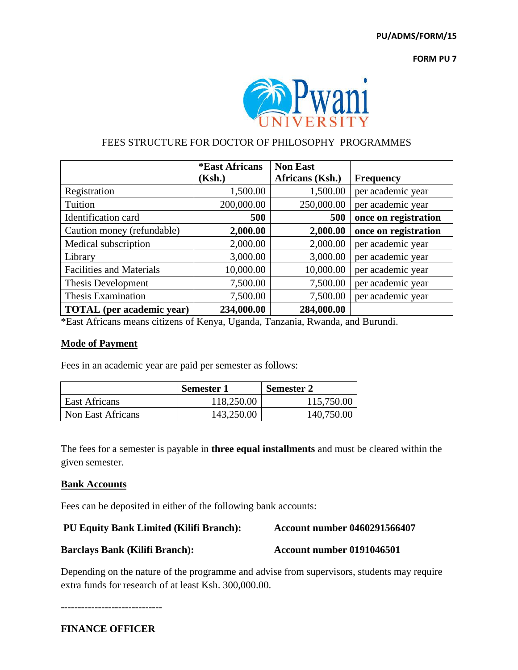**PU/ADMS/FORM/15**

**FORM PU 7**



# FEES STRUCTURE FOR DOCTOR OF PHILOSOPHY PROGRAMMES

|                                  | <i><b>*East Africans</b></i> | <b>Non East</b> |                      |
|----------------------------------|------------------------------|-----------------|----------------------|
|                                  | (Ksh.)                       | Africans (Ksh.) | <b>Frequency</b>     |
| Registration                     | 1,500.00                     | 1,500.00        | per academic year    |
| Tuition                          | 200,000.00                   | 250,000.00      | per academic year    |
| Identification card              | 500                          | 500             | once on registration |
| Caution money (refundable)       | 2,000.00                     | 2,000.00        | once on registration |
| Medical subscription             | 2,000.00                     | 2,000.00        | per academic year    |
| Library                          | 3,000.00                     | 3,000.00        | per academic year    |
| <b>Facilities and Materials</b>  | 10,000.00                    | 10,000.00       | per academic year    |
| Thesis Development               | 7,500.00                     | 7,500.00        | per academic year    |
| <b>Thesis Examination</b>        | 7,500.00                     | 7,500.00        | per academic year    |
| <b>TOTAL</b> (per academic year) | 234,000.00                   | 284,000.00      |                      |

\*East Africans means citizens of Kenya, Uganda, Tanzania, Rwanda, and Burundi.

## **Mode of Payment**

Fees in an academic year are paid per semester as follows:

|                   | Semester 1 | <b>Semester 2</b> |  |
|-------------------|------------|-------------------|--|
| East Africans     | 118,250.00 | 115,750.00        |  |
| Non East Africans | 143,250.00 | 140,750.00        |  |

The fees for a semester is payable in **three equal installments** and must be cleared within the given semester.

### **Bank Accounts**

Fees can be deposited in either of the following bank accounts:

### **PU Equity Bank Limited (Kilifi Branch): Account number 0460291566407**

**Barclays Bank (Kilifi Branch): Account number 0191046501**

Depending on the nature of the programme and advise from supervisors, students may require extra funds for research of at least Ksh. 300,000.00.

------------------------------

**FINANCE OFFICER**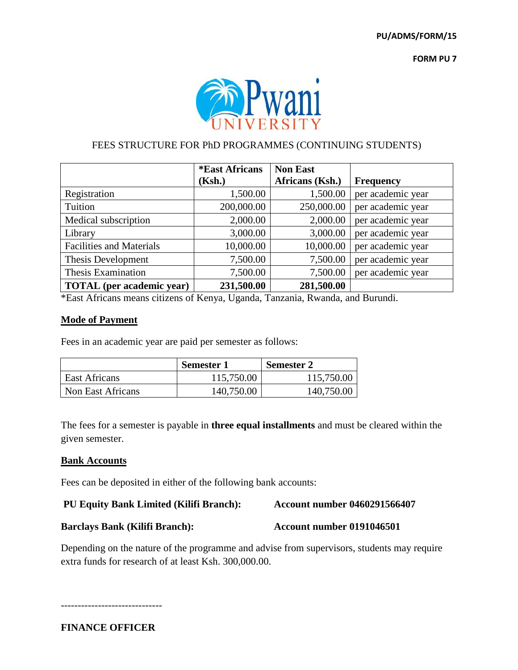**FORM PU 7**



## FEES STRUCTURE FOR PhD PROGRAMMES (CONTINUING STUDENTS)

|                                  | <i><b>*East Africans</b></i> | <b>Non East</b> |                   |
|----------------------------------|------------------------------|-----------------|-------------------|
|                                  | (Ksh.)                       | Africans (Ksh.) | <b>Frequency</b>  |
| Registration                     | 1,500.00                     | 1,500.00        | per academic year |
| Tuition                          | 200,000.00                   | 250,000.00      | per academic year |
| Medical subscription             | 2,000.00                     | 2,000.00        | per academic year |
| Library                          | 3,000.00                     | 3,000.00        | per academic year |
| <b>Facilities and Materials</b>  | 10,000.00                    | 10,000.00       | per academic year |
| Thesis Development               | 7,500.00                     | 7,500.00        | per academic year |
| Thesis Examination               | 7,500.00                     | 7,500.00        | per academic year |
| <b>TOTAL</b> (per academic year) | 231,500.00                   | 281,500.00      |                   |

\*East Africans means citizens of Kenya, Uganda, Tanzania, Rwanda, and Burundi.

## **Mode of Payment**

Fees in an academic year are paid per semester as follows:

|                   | <b>Semester 1</b> | <b>Semester 2</b> |  |
|-------------------|-------------------|-------------------|--|
| East Africans     | 115,750.00        | 115,750.00        |  |
| Non East Africans | 140,750.00        | 140,750.00        |  |

The fees for a semester is payable in **three equal installments** and must be cleared within the given semester.

### **Bank Accounts**

Fees can be deposited in either of the following bank accounts:

## **PU Equity Bank Limited (Kilifi Branch): Account number 0460291566407**

**Barclays Bank (Kilifi Branch): Account number 0191046501**

Depending on the nature of the programme and advise from supervisors, students may require extra funds for research of at least Ksh. 300,000.00.

------------------------------

**FINANCE OFFICER**